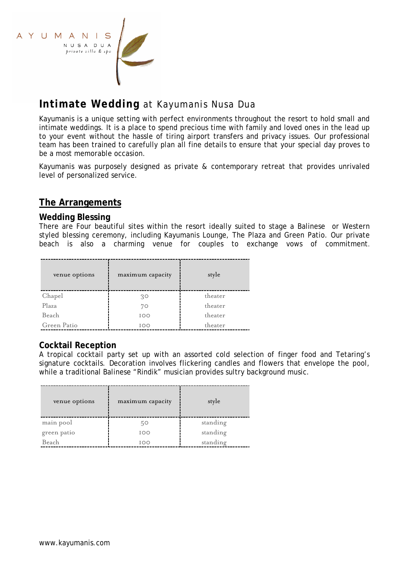

# **Intimate Wedding** at Kayumanis Nusa Dua

Kayumanis is a unique setting with perfect environments throughout the resort to hold small and intimate weddings. It is a place to spend precious time with family and loved ones in the lead up to your event without the hassle of tiring airport transfers and privacy issues. Our professional team has been trained to carefully plan all fine details to ensure that your special day proves to be a most memorable occasion.

Kayumanis was purposely designed as private & contemporary retreat that provides unrivaled level of personalized service.

## **The Arrangements**

#### **Wedding Blessing**

There are Four beautiful sites within the resort ideally suited to stage a Balinese or Western styled blessing ceremony, including Kayumanis Lounge, The Plaza and Green Patio. Our private beach is also a charming venue for couples to exchange vows of commitment.

| venue options | maximum capacity | style   |
|---------------|------------------|---------|
| Chapel        | 30               | theater |
| Plaza         | 70               | theater |
| Beach         | IOO              | theater |
| Green Patio   | IOO              | theater |

#### **Cocktail Reception**

A tropical cocktail party set up with an assorted cold selection of finger food and Tetaring's signature cocktails. Decoration involves flickering candles and flowers that envelope the pool, while a traditional Balinese "Rindik" musician provides sultry background music.

| venue options | maximum capacity | style    |
|---------------|------------------|----------|
| main pool     | 50               | standing |
| green patio   | IOO              | standing |
| Beach         | <b>IOO</b>       | standing |